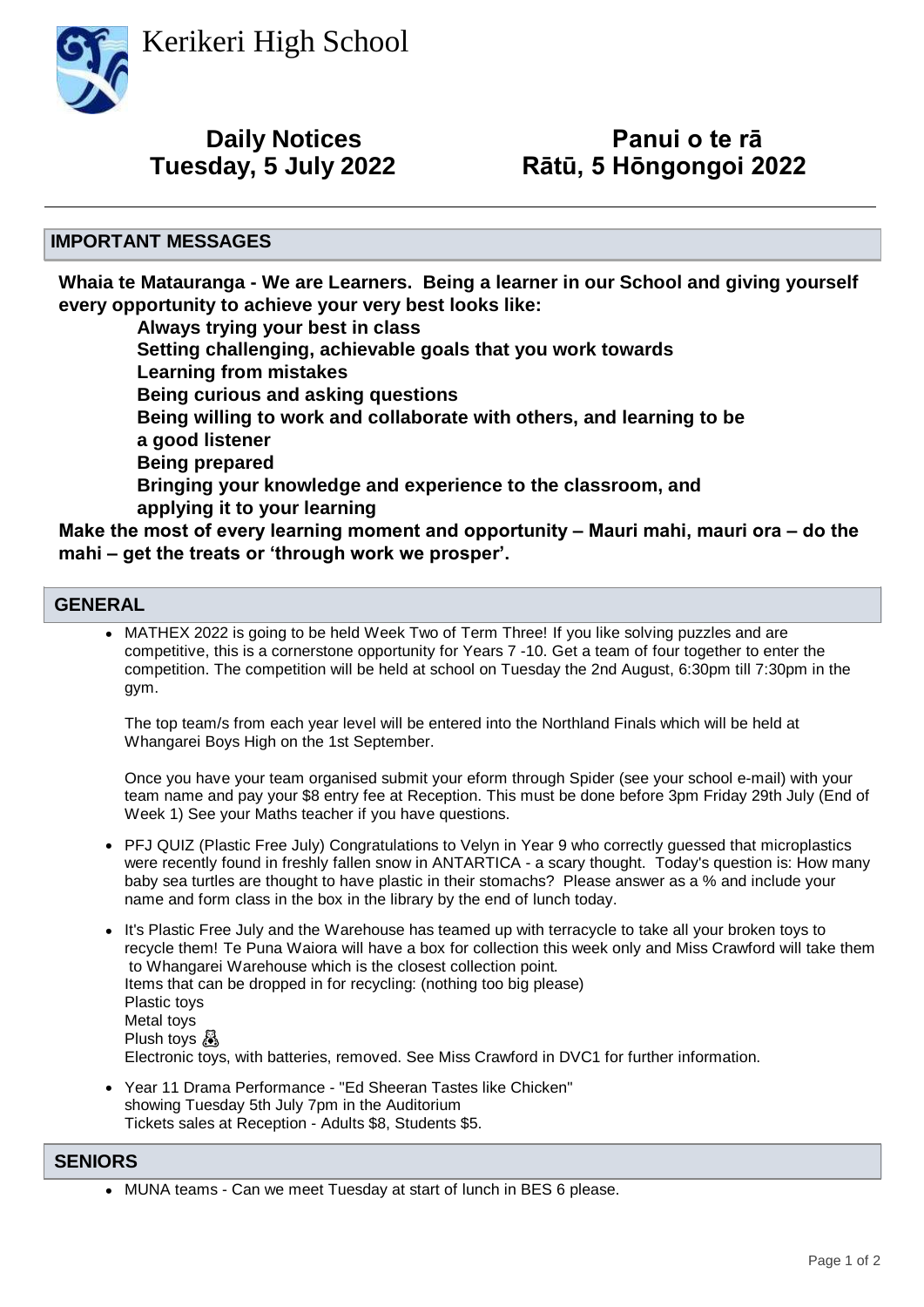Kerikeri High School



**Tuesday, 5 July 2022 Rātū, 5 Hōngongoi 2022 Daily Notices**

# **Panui o te rā<br>Rātū, 5 Hōngongoi 2022**

## **IMPORTANT MESSAGES**

**Whaia te Matauranga - We are Learners. Being a learner in our School and giving yourself every opportunity to achieve your very best looks like:**

 **Always trying your best in class Setting challenging, achievable goals that you work towards Learning from mistakes Being curious and asking questions Being willing to work and collaborate with others, and learning to be a good listener Being prepared Bringing your knowledge and experience to the classroom, and applying it to your learning**

**Make the most of every learning moment and opportunity – Mauri mahi, mauri ora – do the mahi – get the treats or 'through work we prosper'.**

## **GENERAL**

• MATHEX 2022 is going to be held Week Two of Term Three! If you like solving puzzles and are competitive, this is a cornerstone opportunity for Years 7 -10. Get a team of four together to enter the competition. The competition will be held at school on Tuesday the 2nd August, 6:30pm till 7:30pm in the gym.

The top team/s from each year level will be entered into the Northland Finals which will be held at Whangarei Boys High on the 1st September.

Once you have your team organised submit your eform through Spider (see your school e-mail) with your team name and pay your \$8 entry fee at Reception. This must be done before 3pm Friday 29th July (End of Week 1) See your Maths teacher if you have questions.

- PFJ QUIZ (Plastic Free July) Congratulations to Velyn in Year 9 who correctly guessed that microplastics were recently found in freshly fallen snow in ANTARTICA - a scary thought. Today's question is: How many baby sea turtles are thought to have plastic in their stomachs? Please answer as a % and include your name and form class in the box in the library by the end of lunch today.
- It's Plastic Free July and the Warehouse has teamed up with terracycle to take all your broken toys to recycle them! Te Puna Waiora will have a box for collection this week only and Miss Crawford will take them to Whangarei Warehouse which is the closest collection point. Items that can be dropped in for recycling: (nothing too big please) Plastic toys Metal toys Plush toys & Electronic toys, with batteries, removed. See Miss Crawford in DVC1 for further information.
- Year 11 Drama Performance "Ed Sheeran Tastes like Chicken" showing Tuesday 5th July 7pm in the Auditorium Tickets sales at Reception - Adults \$8, Students \$5.

## **SENIORS**

• MUNA teams - Can we meet Tuesday at start of lunch in BES 6 please.